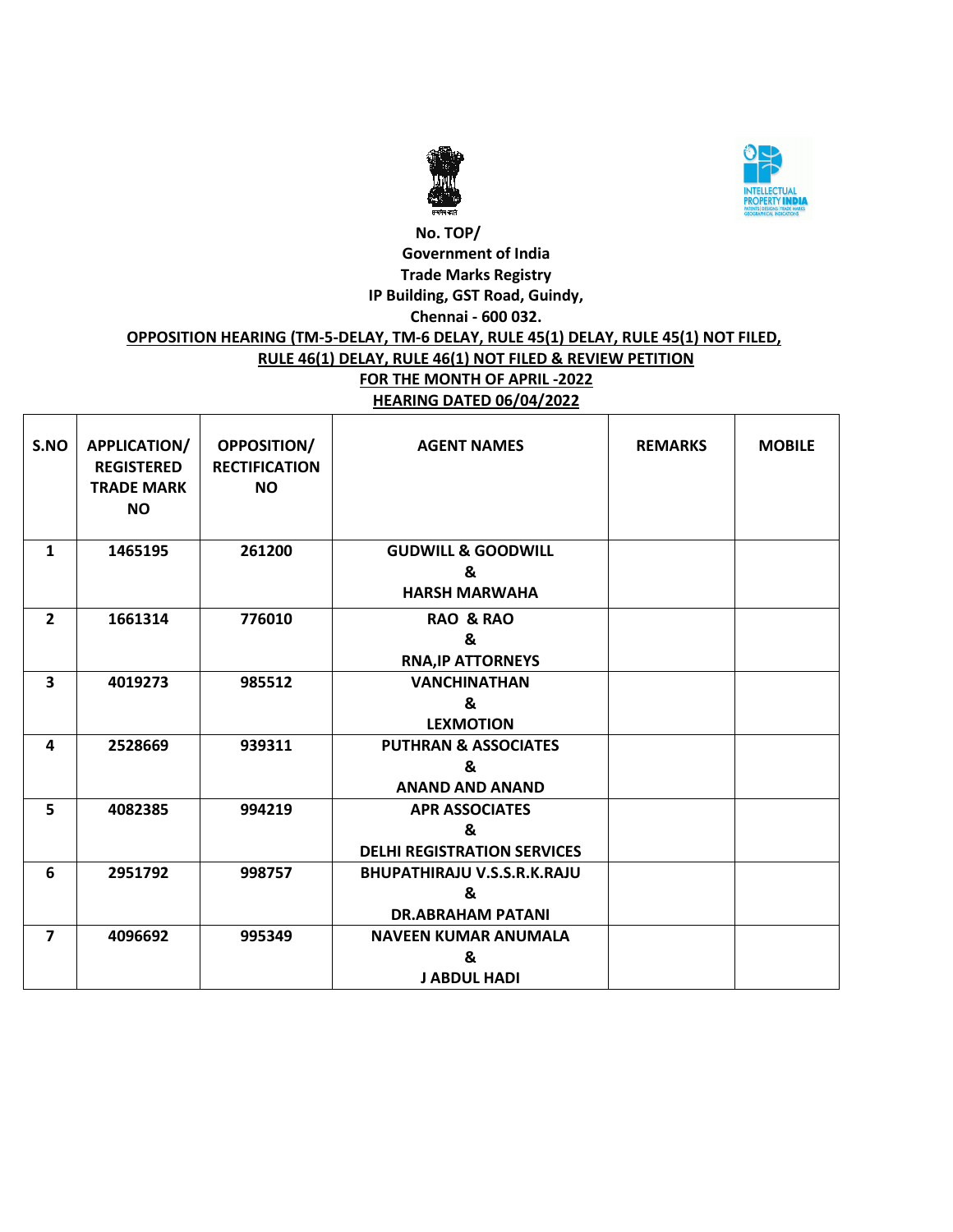



## **No. TOP/ Government of India Trade Marks Registry IP Building, GST Road, Guindy, Chennai - 600 032. OPPOSITION HEARING (TM-5-DELAY, TM-6 DELAY, RULE 45(1) DELAY, RULE 45(1) NOT FILED, RULE 46(1) DELAY, RULE 46(1) NOT FILED & REVIEW PETITION FOR THE MONTH OF APRIL -2022 HEARING DATED 06/04/2022**

| S.NO                    | APPLICATION/<br><b>REGISTERED</b><br><b>TRADE MARK</b><br><b>NO</b> | <b>OPPOSITION/</b><br><b>RECTIFICATION</b><br><b>NO</b> | <b>AGENT NAMES</b>                                                  | <b>REMARKS</b> | <b>MOBILE</b> |
|-------------------------|---------------------------------------------------------------------|---------------------------------------------------------|---------------------------------------------------------------------|----------------|---------------|
| $\mathbf{1}$            | 1465195                                                             | 261200                                                  | <b>GUDWILL &amp; GOODWILL</b><br>&<br><b>HARSH MARWAHA</b>          |                |               |
| $\overline{2}$          | 1661314                                                             | 776010                                                  | <b>RAO &amp; RAO</b><br>&<br><b>RNA, IP ATTORNEYS</b>               |                |               |
| $\overline{\mathbf{3}}$ | 4019273                                                             | 985512                                                  | <b>VANCHINATHAN</b><br>&<br><b>LEXMOTION</b>                        |                |               |
| 4                       | 2528669                                                             | 939311                                                  | <b>PUTHRAN &amp; ASSOCIATES</b><br>&<br><b>ANAND AND ANAND</b>      |                |               |
| 5                       | 4082385                                                             | 994219                                                  | <b>APR ASSOCIATES</b><br>&<br><b>DELHI REGISTRATION SERVICES</b>    |                |               |
| 6                       | 2951792                                                             | 998757                                                  | <b>BHUPATHIRAJU V.S.S.R.K.RAJU</b><br>&<br><b>DR.ABRAHAM PATANI</b> |                |               |
| $\overline{\mathbf{z}}$ | 4096692                                                             | 995349                                                  | <b>NAVEEN KUMAR ANUMALA</b><br>&<br><b>J ABDUL HADI</b>             |                |               |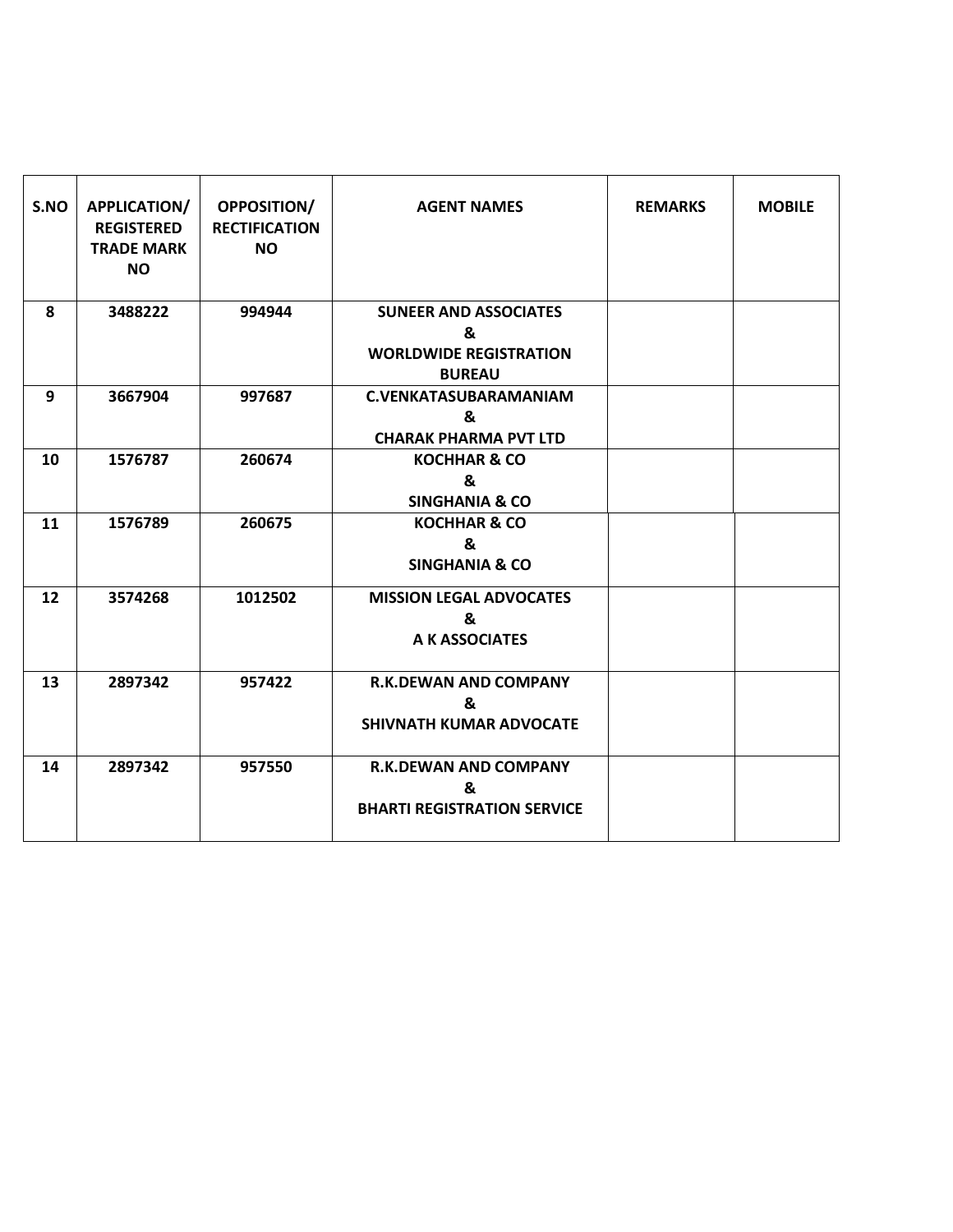| S.NO | APPLICATION/<br><b>REGISTERED</b><br><b>TRADE MARK</b><br><b>NO</b> | <b>OPPOSITION/</b><br><b>RECTIFICATION</b><br><b>NO</b> | <b>AGENT NAMES</b>                                                                  | <b>REMARKS</b> | <b>MOBILE</b> |
|------|---------------------------------------------------------------------|---------------------------------------------------------|-------------------------------------------------------------------------------------|----------------|---------------|
| 8    | 3488222                                                             | 994944                                                  | <b>SUNEER AND ASSOCIATES</b><br>&<br><b>WORLDWIDE REGISTRATION</b><br><b>BUREAU</b> |                |               |
| 9    | 3667904                                                             | 997687                                                  | <b>C.VENKATASUBARAMANIAM</b><br>&<br><b>CHARAK PHARMA PVT LTD</b>                   |                |               |
| 10   | 1576787                                                             | 260674                                                  | <b>KOCHHAR &amp; CO</b><br>&<br><b>SINGHANIA &amp; CO</b>                           |                |               |
| 11   | 1576789                                                             | 260675                                                  | <b>KOCHHAR &amp; CO</b><br>&<br><b>SINGHANIA &amp; CO</b>                           |                |               |
| 12   | 3574268                                                             | 1012502                                                 | <b>MISSION LEGAL ADVOCATES</b><br>&<br>A K ASSOCIATES                               |                |               |
| 13   | 2897342                                                             | 957422                                                  | <b>R.K.DEWAN AND COMPANY</b><br>&<br><b>SHIVNATH KUMAR ADVOCATE</b>                 |                |               |
| 14   | 2897342                                                             | 957550                                                  | <b>R.K.DEWAN AND COMPANY</b><br>&<br><b>BHARTI REGISTRATION SERVICE</b>             |                |               |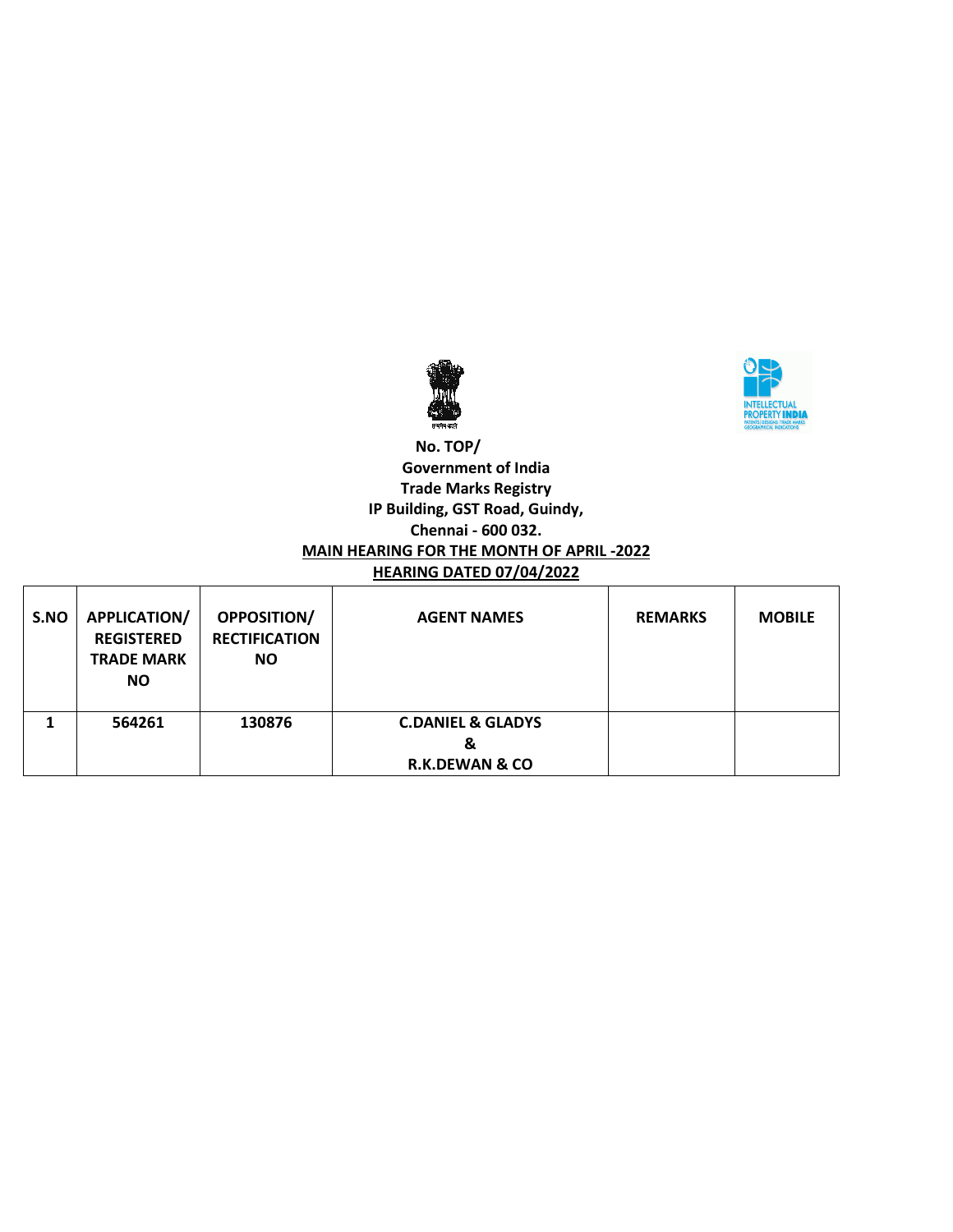



### **No. TOP/ Government of India Trade Marks Registry IP Building, GST Road, Guindy, Chennai - 600 032. MAIN HEARING FOR THE MONTH OF APRIL -2022 HEARING DATED 07/04/2022**

| S.NO | <b>APPLICATION/</b><br><b>REGISTERED</b><br><b>TRADE MARK</b><br><b>NO</b> | <b>OPPOSITION/</b><br><b>RECTIFICATION</b><br><b>NO</b> | <b>AGENT NAMES</b>                                             | <b>REMARKS</b> | <b>MOBILE</b> |
|------|----------------------------------------------------------------------------|---------------------------------------------------------|----------------------------------------------------------------|----------------|---------------|
|      | 564261                                                                     | 130876                                                  | <b>C.DANIEL &amp; GLADYS</b><br>&<br><b>R.K.DEWAN &amp; CO</b> |                |               |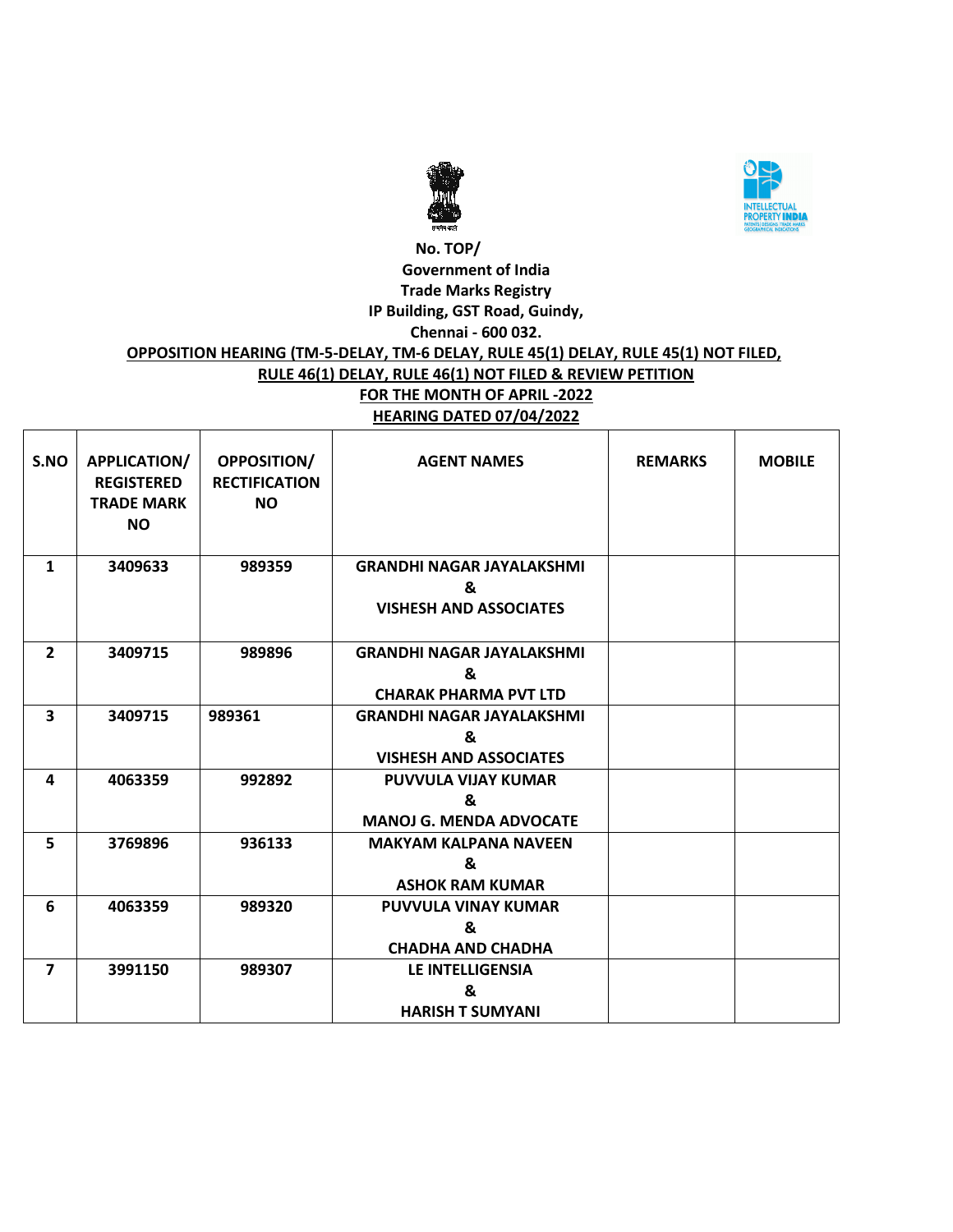



### **No. TOP/ Government of India Trade Marks Registry IP Building, GST Road, Guindy, Chennai - 600 032. OPPOSITION HEARING (TM-5-DELAY, TM-6 DELAY, RULE 45(1) DELAY, RULE 45(1) NOT FILED, RULE 46(1) DELAY, RULE 46(1) NOT FILED & REVIEW PETITION FOR THE MONTH OF APRIL -2022 HEARING DATED 07/04/2022**

| S.NO           | APPLICATION/<br><b>REGISTERED</b><br><b>TRADE MARK</b><br><b>NO</b> | <b>OPPOSITION/</b><br><b>RECTIFICATION</b><br><b>NO</b> | <b>AGENT NAMES</b>                                                     | <b>REMARKS</b> | <b>MOBILE</b> |
|----------------|---------------------------------------------------------------------|---------------------------------------------------------|------------------------------------------------------------------------|----------------|---------------|
| $\mathbf{1}$   | 3409633                                                             | 989359                                                  | <b>GRANDHI NAGAR JAYALAKSHMI</b><br>&<br><b>VISHESH AND ASSOCIATES</b> |                |               |
| $\overline{2}$ | 3409715                                                             | 989896                                                  | <b>GRANDHI NAGAR JAYALAKSHMI</b><br>&<br><b>CHARAK PHARMA PVT LTD</b>  |                |               |
| 3              | 3409715                                                             | 989361                                                  | <b>GRANDHI NAGAR JAYALAKSHMI</b><br>&<br><b>VISHESH AND ASSOCIATES</b> |                |               |
| 4              | 4063359                                                             | 992892                                                  | PUVVULA VIJAY KUMAR<br>&<br><b>MANOJ G. MENDA ADVOCATE</b>             |                |               |
| 5              | 3769896                                                             | 936133                                                  | <b>MAKYAM KALPANA NAVEEN</b><br>&<br><b>ASHOK RAM KUMAR</b>            |                |               |
| 6              | 4063359                                                             | 989320                                                  | <b>PUVVULA VINAY KUMAR</b><br>&<br><b>CHADHA AND CHADHA</b>            |                |               |
| $\overline{ }$ | 3991150                                                             | 989307                                                  | LE INTELLIGENSIA<br>&<br><b>HARISH T SUMYANI</b>                       |                |               |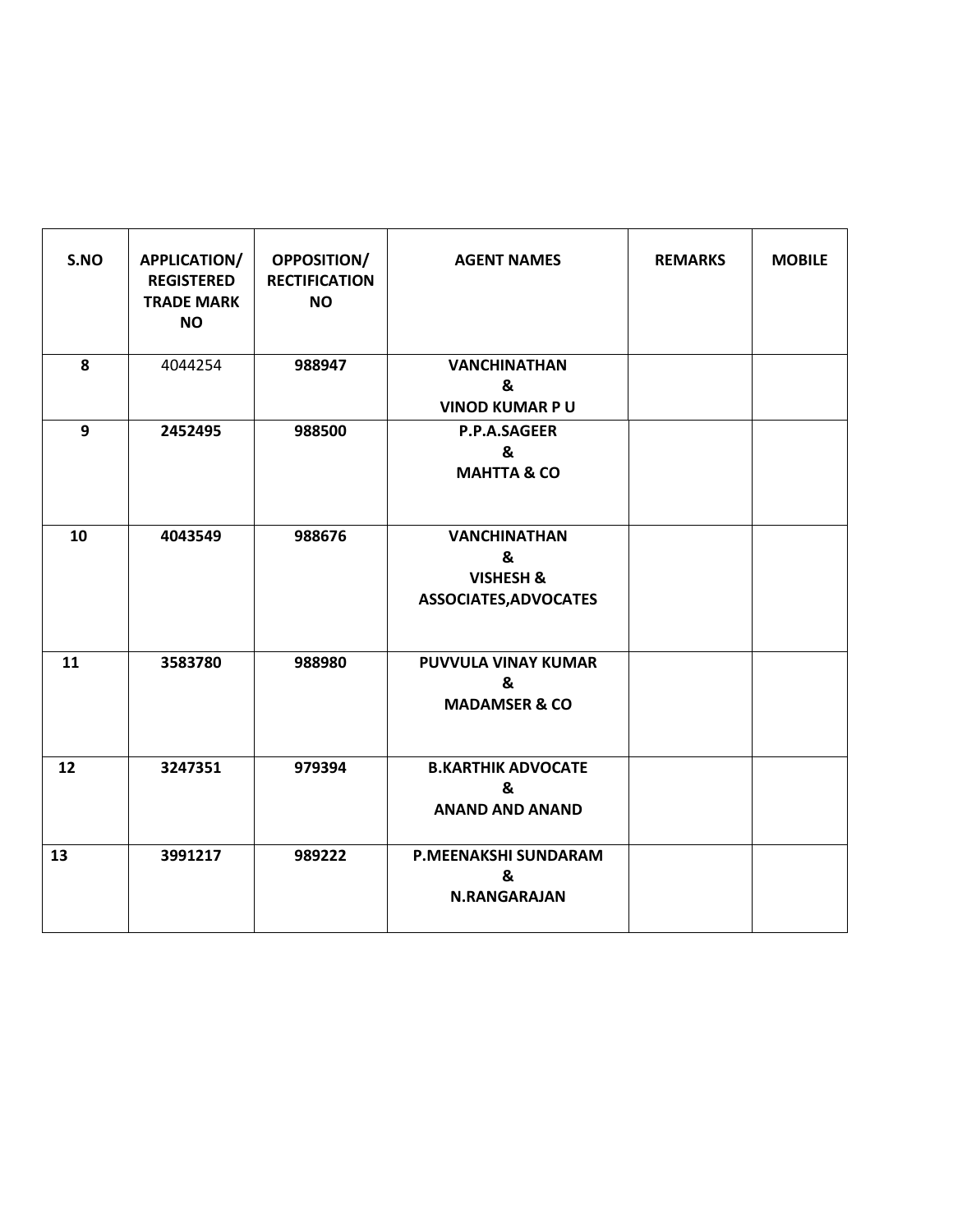| S.NO | <b>APPLICATION/</b><br><b>REGISTERED</b><br><b>TRADE MARK</b><br><b>NO</b> | <b>OPPOSITION/</b><br><b>RECTIFICATION</b><br><b>NO</b> | <b>AGENT NAMES</b>                                             | <b>REMARKS</b> | <b>MOBILE</b> |
|------|----------------------------------------------------------------------------|---------------------------------------------------------|----------------------------------------------------------------|----------------|---------------|
| 8    | 4044254                                                                    | 988947                                                  | <b>VANCHINATHAN</b><br>&<br><b>VINOD KUMAR PU</b>              |                |               |
| 9    | 2452495                                                                    | 988500                                                  | P.P.A.SAGEER<br>&<br><b>MAHTTA &amp; CO</b>                    |                |               |
| 10   | 4043549                                                                    | 988676                                                  | <b>VANCHINATHAN</b><br>&<br>VISHESH &<br>ASSOCIATES, ADVOCATES |                |               |
| 11   | 3583780                                                                    | 988980                                                  | <b>PUVVULA VINAY KUMAR</b><br>&<br><b>MADAMSER &amp; CO</b>    |                |               |
| 12   | 3247351                                                                    | 979394                                                  | <b>B.KARTHIK ADVOCATE</b><br>&<br><b>ANAND AND ANAND</b>       |                |               |
| 13   | 3991217                                                                    | 989222                                                  | P.MEENAKSHI SUNDARAM<br>&<br><b>N.RANGARAJAN</b>               |                |               |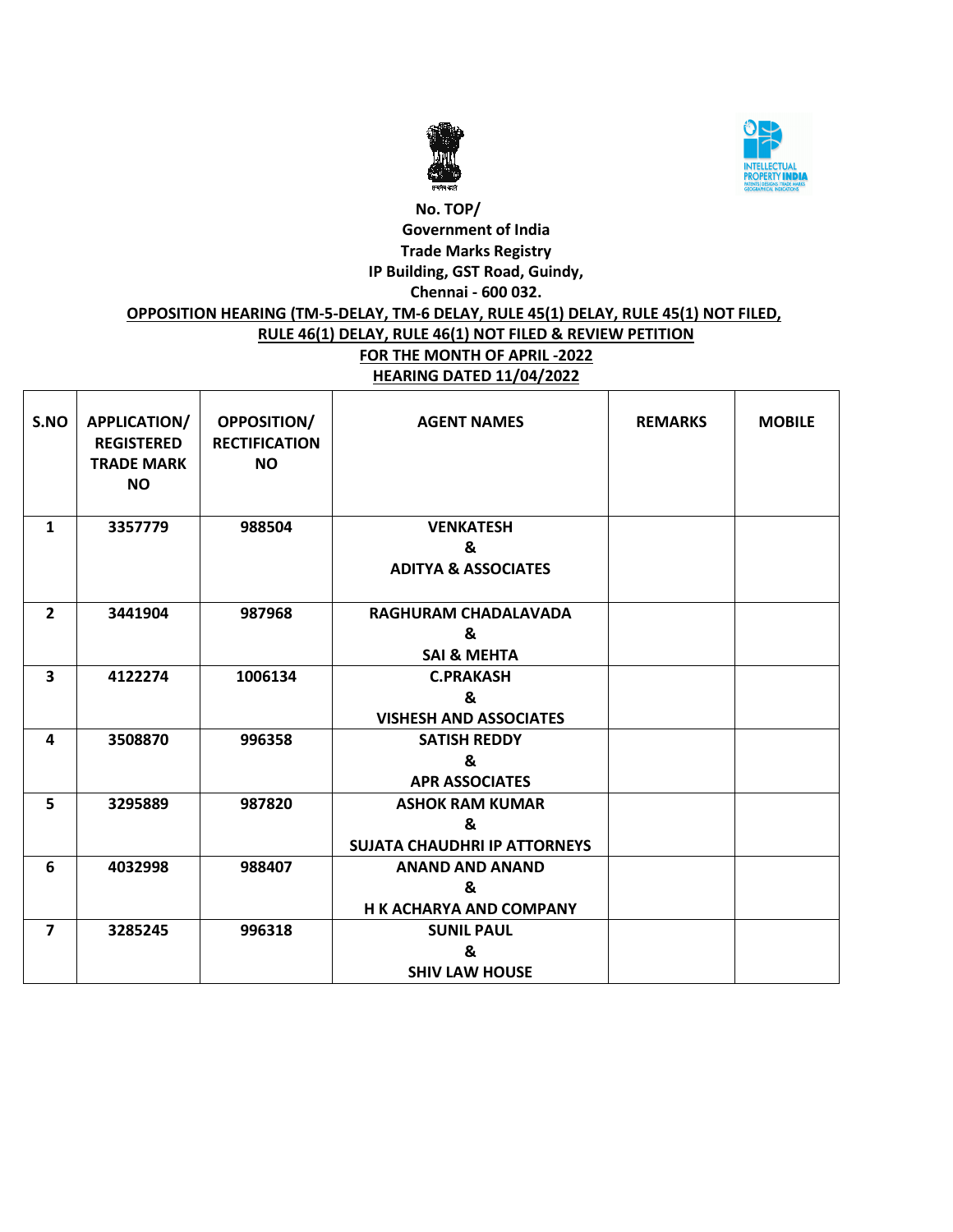



# **No. TOP/ Government of India Trade Marks Registry IP Building, GST Road, Guindy, Chennai - 600 032. OPPOSITION HEARING (TM-5-DELAY, TM-6 DELAY, RULE 45(1) DELAY, RULE 45(1) NOT FILED, RULE 46(1) DELAY, RULE 46(1) NOT FILED & REVIEW PETITION FOR THE MONTH OF APRIL -2022 HEARING DATED 11/04/2022**

| S.NO                    | <b>APPLICATION/</b><br><b>REGISTERED</b><br><b>TRADE MARK</b><br><b>NO</b> | <b>OPPOSITION/</b><br><b>RECTIFICATION</b><br><b>NO</b> | <b>AGENT NAMES</b>                  | <b>REMARKS</b> | <b>MOBILE</b> |
|-------------------------|----------------------------------------------------------------------------|---------------------------------------------------------|-------------------------------------|----------------|---------------|
| 1                       | 3357779                                                                    | 988504                                                  | <b>VENKATESH</b>                    |                |               |
|                         |                                                                            |                                                         | &<br><b>ADITYA &amp; ASSOCIATES</b> |                |               |
| $\overline{2}$          | 3441904                                                                    | 987968                                                  | RAGHURAM CHADALAVADA                |                |               |
|                         |                                                                            |                                                         | &                                   |                |               |
|                         |                                                                            |                                                         | <b>SAI &amp; MEHTA</b>              |                |               |
| $\overline{\mathbf{3}}$ | 4122274                                                                    | 1006134                                                 | <b>C.PRAKASH</b>                    |                |               |
|                         |                                                                            |                                                         | &                                   |                |               |
|                         |                                                                            |                                                         | <b>VISHESH AND ASSOCIATES</b>       |                |               |
| 4                       | 3508870                                                                    | 996358                                                  | <b>SATISH REDDY</b>                 |                |               |
|                         |                                                                            |                                                         | &                                   |                |               |
|                         |                                                                            |                                                         | <b>APR ASSOCIATES</b>               |                |               |
| 5                       | 3295889                                                                    | 987820                                                  | <b>ASHOK RAM KUMAR</b>              |                |               |
|                         |                                                                            |                                                         | &                                   |                |               |
|                         |                                                                            |                                                         | <b>SUJATA CHAUDHRI IP ATTORNEYS</b> |                |               |
| 6                       | 4032998                                                                    | 988407                                                  | <b>ANAND AND ANAND</b>              |                |               |
|                         |                                                                            |                                                         | &                                   |                |               |
|                         |                                                                            |                                                         | <b>H K ACHARYA AND COMPANY</b>      |                |               |
| $\overline{7}$          | 3285245                                                                    | 996318                                                  | <b>SUNIL PAUL</b>                   |                |               |
|                         |                                                                            |                                                         | &                                   |                |               |
|                         |                                                                            |                                                         | <b>SHIV LAW HOUSE</b>               |                |               |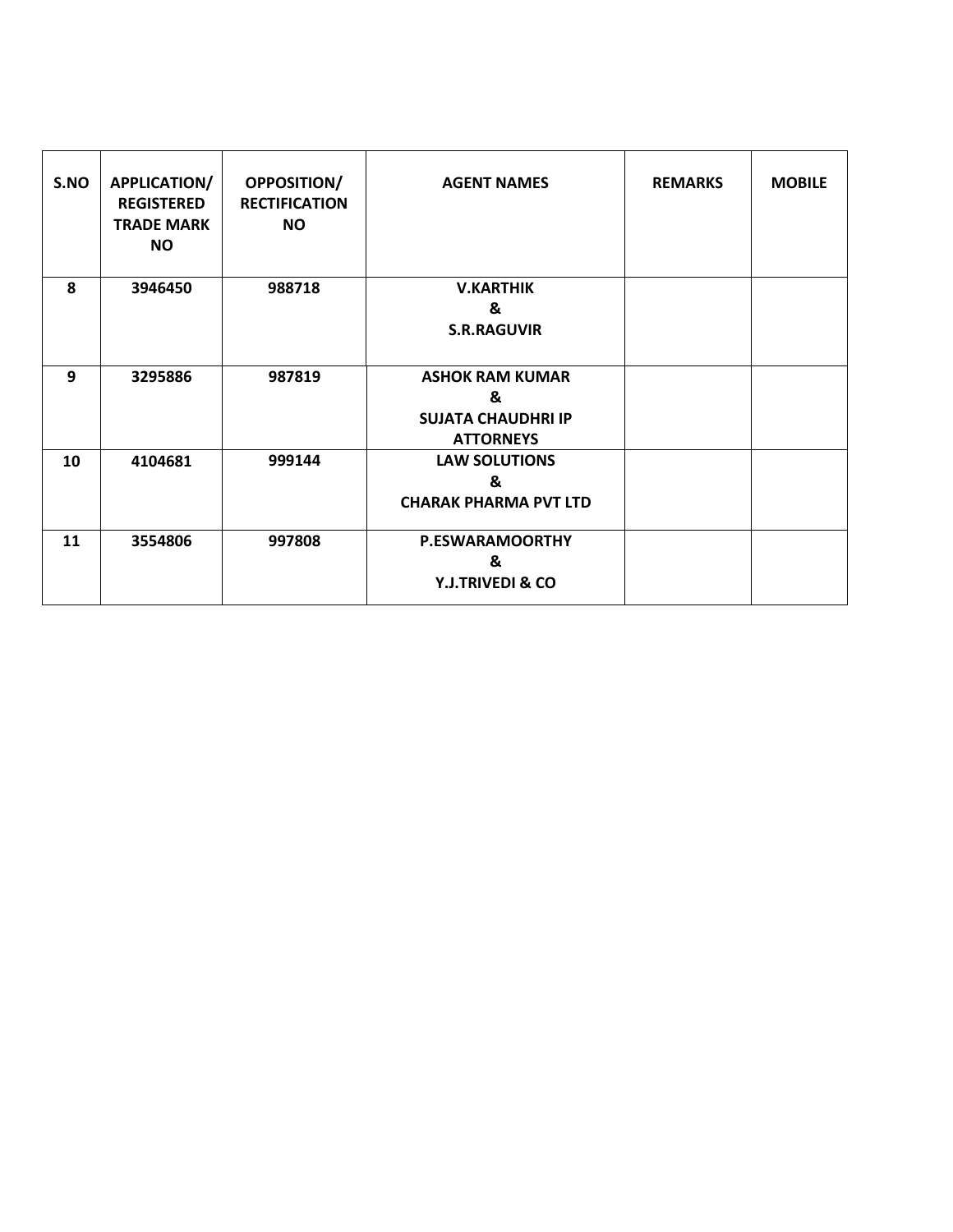| S.NO | <b>APPLICATION/</b><br><b>REGISTERED</b><br><b>TRADE MARK</b><br><b>NO</b> | <b>OPPOSITION/</b><br><b>RECTIFICATION</b><br><b>NO</b> | <b>AGENT NAMES</b>           | <b>REMARKS</b> | <b>MOBILE</b> |
|------|----------------------------------------------------------------------------|---------------------------------------------------------|------------------------------|----------------|---------------|
| 8    | 3946450                                                                    | 988718                                                  | <b>V.KARTHIK</b>             |                |               |
|      |                                                                            |                                                         | &                            |                |               |
|      |                                                                            |                                                         | <b>S.R.RAGUVIR</b>           |                |               |
| 9    | 3295886                                                                    | 987819                                                  | <b>ASHOK RAM KUMAR</b>       |                |               |
|      |                                                                            |                                                         | &                            |                |               |
|      |                                                                            |                                                         | <b>SUJATA CHAUDHRI IP</b>    |                |               |
|      |                                                                            |                                                         | <b>ATTORNEYS</b>             |                |               |
| 10   | 4104681                                                                    | 999144                                                  | <b>LAW SOLUTIONS</b>         |                |               |
|      |                                                                            |                                                         | &                            |                |               |
|      |                                                                            |                                                         | <b>CHARAK PHARMA PVT LTD</b> |                |               |
| 11   | 3554806                                                                    | 997808                                                  | <b>P.ESWARAMOORTHY</b>       |                |               |
|      |                                                                            |                                                         | &                            |                |               |
|      |                                                                            |                                                         | Y.J.TRIVEDI & CO             |                |               |
|      |                                                                            |                                                         |                              |                |               |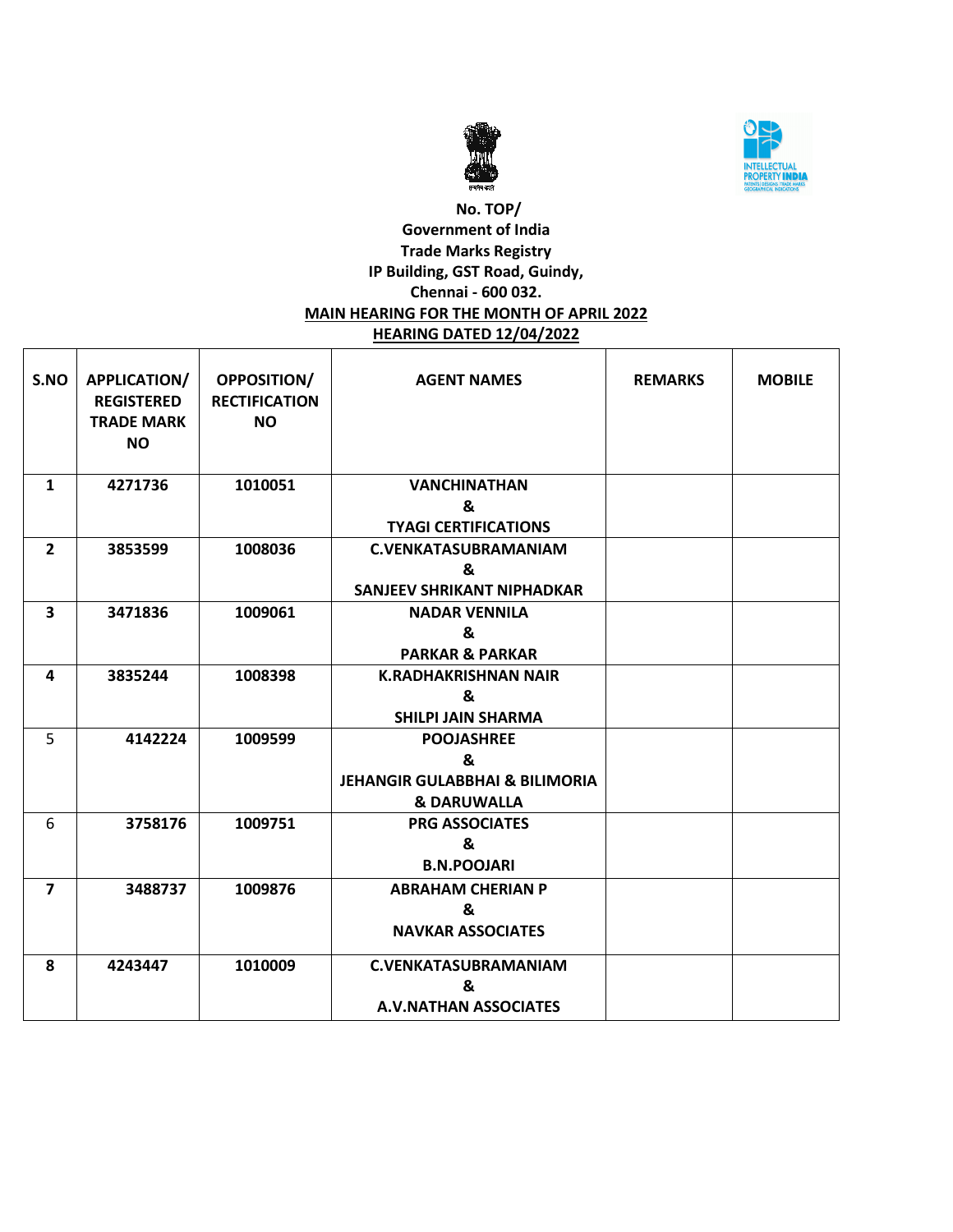



## **No. TOP/ Government of India Trade Marks Registry IP Building, GST Road, Guindy, Chennai - 600 032. MAIN HEARING FOR THE MONTH OF APRIL 2022 HEARING DATED 12/04/2022**

| S.NO                    | APPLICATION/<br><b>REGISTERED</b><br><b>TRADE MARK</b><br><b>NO</b> | <b>OPPOSITION/</b><br><b>RECTIFICATION</b><br><b>NO</b> | <b>AGENT NAMES</b>                        | <b>REMARKS</b> | <b>MOBILE</b> |
|-------------------------|---------------------------------------------------------------------|---------------------------------------------------------|-------------------------------------------|----------------|---------------|
| $\mathbf{1}$            | 4271736                                                             | 1010051                                                 | <b>VANCHINATHAN</b>                       |                |               |
|                         |                                                                     |                                                         | &                                         |                |               |
|                         |                                                                     |                                                         | <b>TYAGI CERTIFICATIONS</b>               |                |               |
| $\overline{2}$          | 3853599                                                             | 1008036                                                 | <b>C.VENKATASUBRAMANIAM</b>               |                |               |
|                         |                                                                     |                                                         | &                                         |                |               |
|                         |                                                                     |                                                         | <b>SANJEEV SHRIKANT NIPHADKAR</b>         |                |               |
| $\overline{\mathbf{3}}$ | 3471836                                                             | 1009061                                                 | <b>NADAR VENNILA</b>                      |                |               |
|                         |                                                                     |                                                         | &                                         |                |               |
|                         |                                                                     |                                                         | <b>PARKAR &amp; PARKAR</b>                |                |               |
| 4                       | 3835244                                                             | 1008398                                                 | <b>K.RADHAKRISHNAN NAIR</b>               |                |               |
|                         |                                                                     |                                                         | &                                         |                |               |
|                         |                                                                     |                                                         | <b>SHILPI JAIN SHARMA</b>                 |                |               |
| 5                       | 4142224                                                             | 1009599                                                 | <b>POOJASHREE</b>                         |                |               |
|                         |                                                                     |                                                         | &                                         |                |               |
|                         |                                                                     |                                                         | <b>JEHANGIR GULABBHAI &amp; BILIMORIA</b> |                |               |
|                         |                                                                     |                                                         | <b>&amp; DARUWALLA</b>                    |                |               |
| 6                       | 3758176                                                             | 1009751                                                 | <b>PRG ASSOCIATES</b>                     |                |               |
|                         |                                                                     |                                                         | &                                         |                |               |
|                         |                                                                     |                                                         | <b>B.N.POOJARI</b>                        |                |               |
| $\overline{\mathbf{z}}$ | 3488737                                                             | 1009876                                                 | <b>ABRAHAM CHERIAN P</b>                  |                |               |
|                         |                                                                     |                                                         | &                                         |                |               |
|                         |                                                                     |                                                         | <b>NAVKAR ASSOCIATES</b>                  |                |               |
| 8                       | 4243447                                                             | 1010009                                                 | <b>C.VENKATASUBRAMANIAM</b>               |                |               |
|                         |                                                                     |                                                         | &                                         |                |               |
|                         |                                                                     |                                                         | <b>A.V.NATHAN ASSOCIATES</b>              |                |               |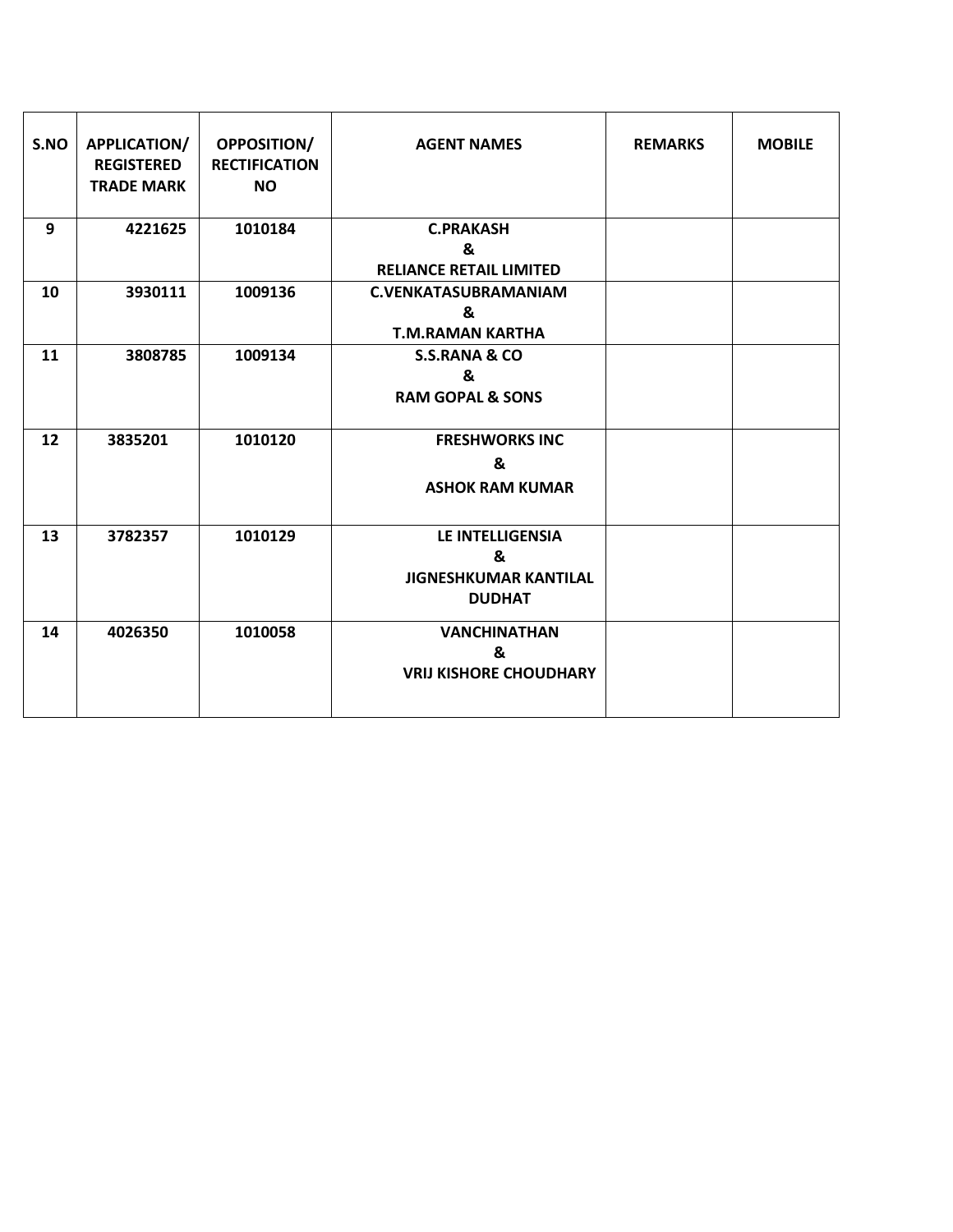| S.NO | APPLICATION/<br><b>REGISTERED</b><br><b>TRADE MARK</b> | <b>OPPOSITION/</b><br><b>RECTIFICATION</b><br><b>NO</b> | <b>AGENT NAMES</b>                                                            | <b>REMARKS</b> | <b>MOBILE</b> |
|------|--------------------------------------------------------|---------------------------------------------------------|-------------------------------------------------------------------------------|----------------|---------------|
| 9    | 4221625                                                | 1010184                                                 | <b>C.PRAKASH</b><br>&<br><b>RELIANCE RETAIL LIMITED</b>                       |                |               |
| 10   | 3930111                                                | 1009136                                                 | <b>C.VENKATASUBRAMANIAM</b><br>&<br><b>T.M.RAMAN KARTHA</b>                   |                |               |
| 11   | 3808785                                                | 1009134                                                 | <b>S.S.RANA &amp; CO</b><br>&<br><b>RAM GOPAL &amp; SONS</b>                  |                |               |
| 12   | 3835201                                                | 1010120                                                 | <b>FRESHWORKS INC</b><br>&<br><b>ASHOK RAM KUMAR</b>                          |                |               |
| 13   | 3782357                                                | 1010129                                                 | <b>LE INTELLIGENSIA</b><br>&<br><b>JIGNESHKUMAR KANTILAL</b><br><b>DUDHAT</b> |                |               |
| 14   | 4026350                                                | 1010058                                                 | <b>VANCHINATHAN</b><br>&<br><b>VRIJ KISHORE CHOUDHARY</b>                     |                |               |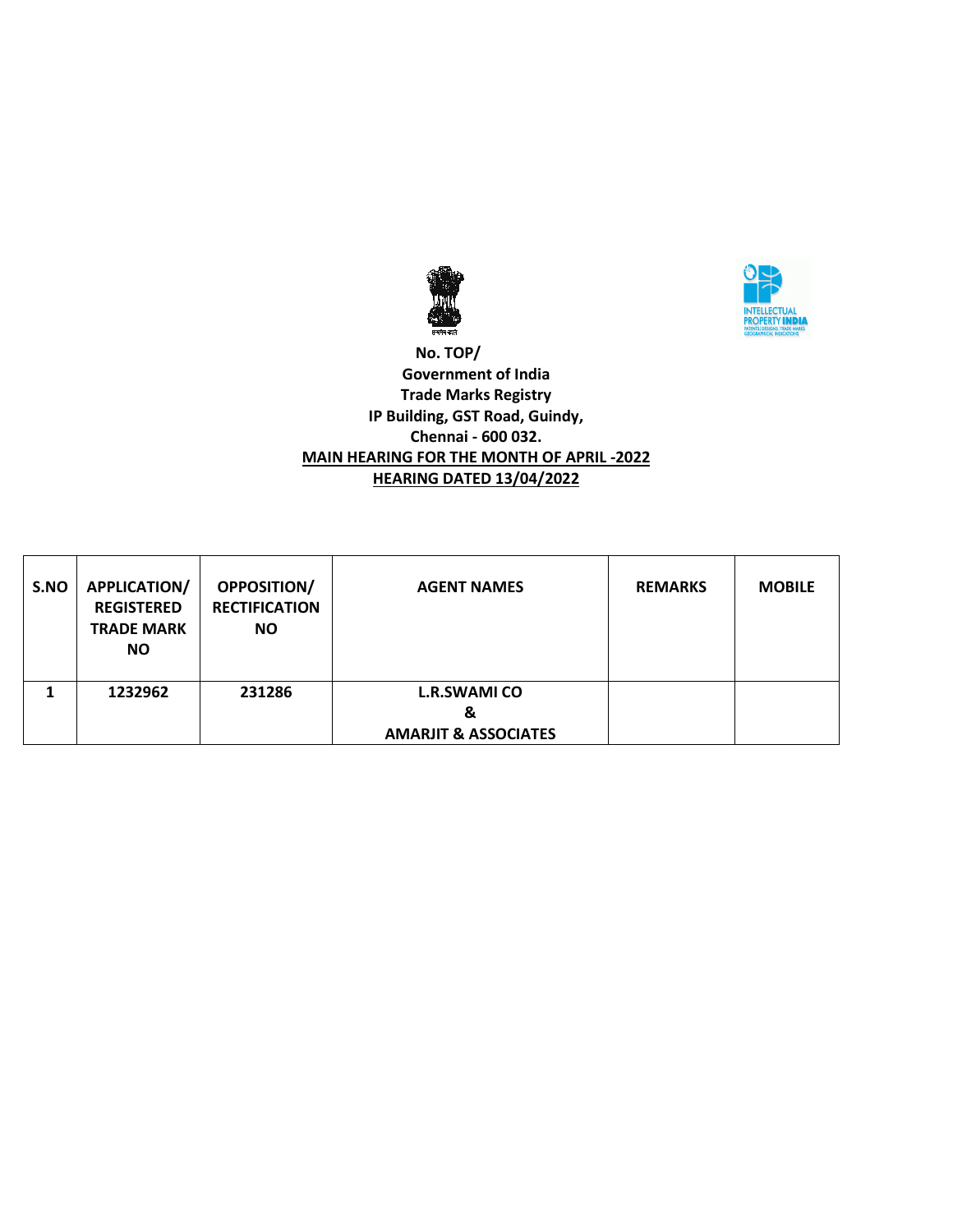



 **No. TOP/ Government of India Trade Marks Registry IP Building, GST Road, Guindy, Chennai - 600 032. MAIN HEARING FOR THE MONTH OF APRIL -2022 HEARING DATED 13/04/2022**

| S.NO | <b>APPLICATION/</b><br><b>REGISTERED</b><br><b>TRADE MARK</b><br><b>NO</b> | <b>OPPOSITION/</b><br><b>RECTIFICATION</b><br><b>NO</b> | <b>AGENT NAMES</b>                                          | <b>REMARKS</b> | <b>MOBILE</b> |
|------|----------------------------------------------------------------------------|---------------------------------------------------------|-------------------------------------------------------------|----------------|---------------|
|      | 1232962                                                                    | 231286                                                  | <b>L.R.SWAMI CO</b><br>&<br><b>AMARJIT &amp; ASSOCIATES</b> |                |               |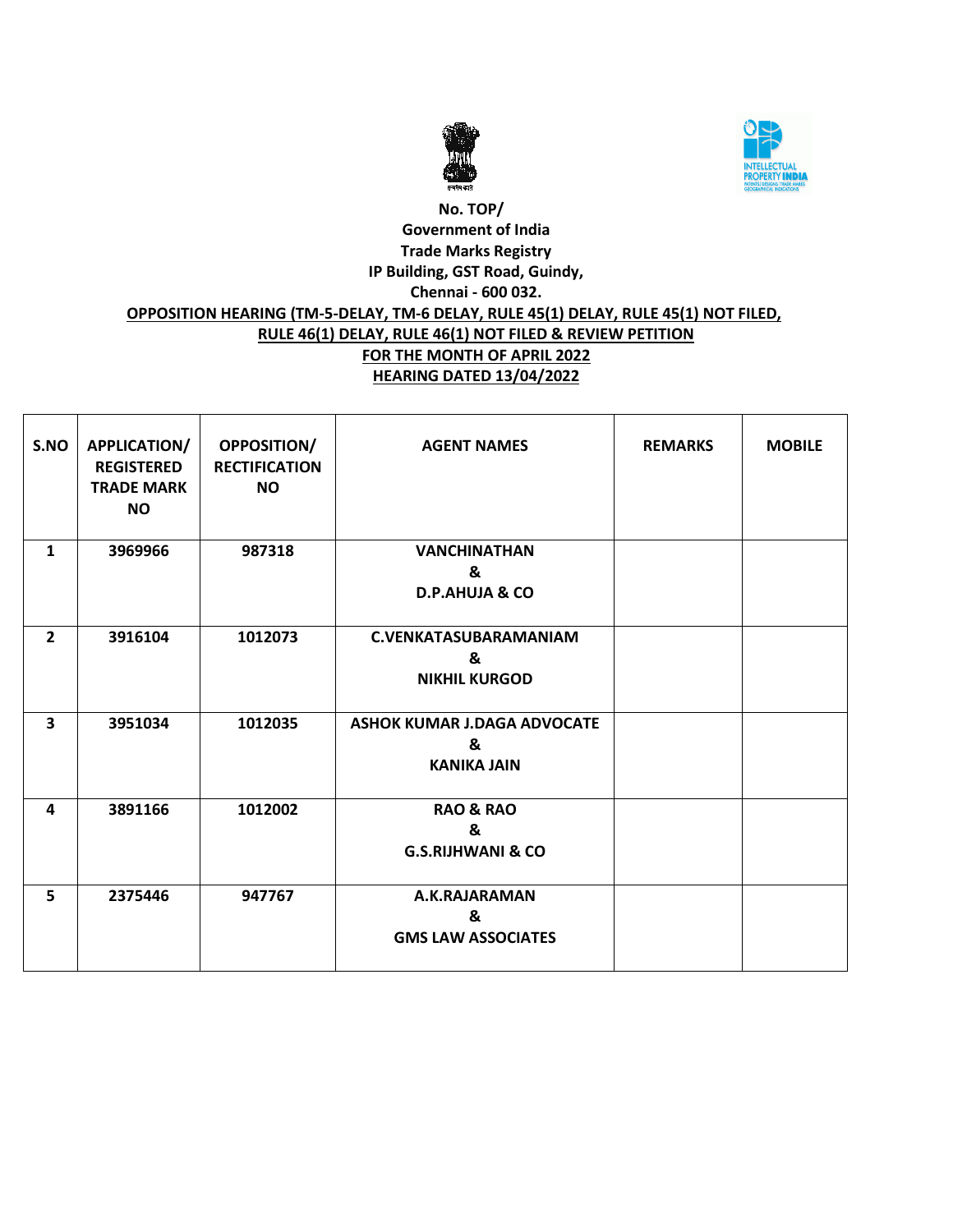



# **No. TOP/ Government of India Trade Marks Registry IP Building, GST Road, Guindy, Chennai - 600 032. OPPOSITION HEARING (TM-5-DELAY, TM-6 DELAY, RULE 45(1) DELAY, RULE 45(1) NOT FILED, RULE 46(1) DELAY, RULE 46(1) NOT FILED & REVIEW PETITION FOR THE MONTH OF APRIL 2022 HEARING DATED 13/04/2022**

| S.NO           | APPLICATION/<br><b>REGISTERED</b><br><b>TRADE MARK</b><br><b>NO</b> | OPPOSITION/<br><b>RECTIFICATION</b><br><b>NO</b> | <b>AGENT NAMES</b>                                            | <b>REMARKS</b> | <b>MOBILE</b> |
|----------------|---------------------------------------------------------------------|--------------------------------------------------|---------------------------------------------------------------|----------------|---------------|
| $\mathbf{1}$   | 3969966                                                             | 987318                                           | <b>VANCHINATHAN</b><br>&<br><b>D.P.AHUJA &amp; CO</b>         |                |               |
| $\overline{2}$ | 3916104                                                             | 1012073                                          | C.VENKATASUBARAMANIAM<br>&<br><b>NIKHIL KURGOD</b>            |                |               |
| 3              | 3951034                                                             | 1012035                                          | <b>ASHOK KUMAR J.DAGA ADVOCATE</b><br>&<br><b>KANIKA JAIN</b> |                |               |
| 4              | 3891166                                                             | 1012002                                          | <b>RAO &amp; RAO</b><br>&<br><b>G.S.RIJHWANI &amp; CO</b>     |                |               |
| 5              | 2375446                                                             | 947767                                           | A.K.RAJARAMAN<br>&<br><b>GMS LAW ASSOCIATES</b>               |                |               |